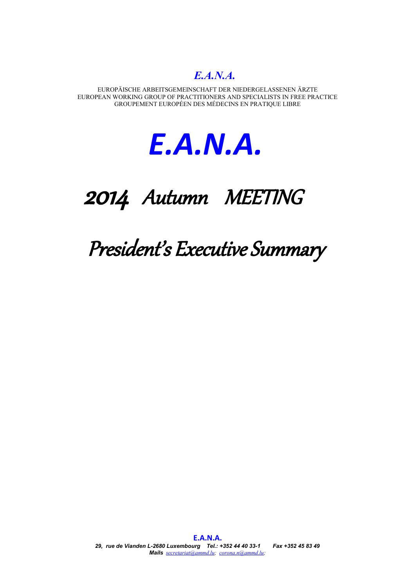EUROPÄISCHE ARBEITSGEMEINSCHAFT DER NIEDERGELASSENEN ÄRZTE EUROPEAN WORKING GROUP OF PRACTITIONERS AND SPECIALISTS IN FREE PRACTICE GROUPEMENT EUROPÉEN DES MÉDECINS EN PRATIQUE LIBRE



# 2014 Autumn MEETING

President's Executive Summary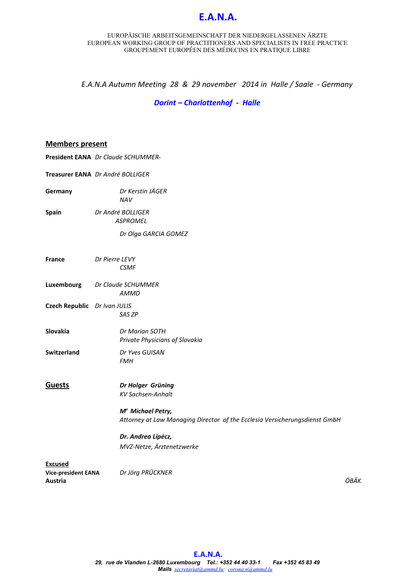#### EUROPÄISCHE ARBEITSGEMEINSCHAFT DER NIEDERGELASSENEN ÄRZTE EUROPEAN WORKING GROUP OF PRACTITIONERS AND SPECIALISTS IN FREE PRACTICE GROUPEMENT EUROPÉEN DES MÉDECINS EN PRATIQUE LIBRE

*E.A.N.A Autumn Meeting 28 & 29 november 2014 in Halle / Saale - Germany*

*Dorint – Charlottenhof - Halle*

## **Members present**

**President EANA** *Dr Claude SCHUMMER-*

|                                                         | Treasurer EANA Dr André BOLLIGER                                                                            |      |
|---------------------------------------------------------|-------------------------------------------------------------------------------------------------------------|------|
| Germany                                                 | Dr Kerstin JÄGER<br><b>NAV</b>                                                                              |      |
| Spain                                                   | Dr André BOLLIGER<br><b>ASPROMEL</b>                                                                        |      |
|                                                         | Dr Olga GARCIA GOMEZ                                                                                        |      |
| <b>France</b>                                           | Dr Pierre LEVY<br><b>CSMF</b>                                                                               |      |
| Luxembourg                                              | Dr Claude SCHUMMER<br><b>AMMD</b>                                                                           |      |
| Czech Republic Dr Ivan JULIS                            | SAS ZP                                                                                                      |      |
| Slovakia                                                | Dr Marian SOTH<br>Private Physicians of Slovakia                                                            |      |
| Switzerland                                             | Dr Yves GUISAN<br><b>FMH</b>                                                                                |      |
| <b>Guests</b>                                           | Dr Holger Grüning<br><b>KV Sachsen-Anhalt</b>                                                               |      |
|                                                         | M <sup>e</sup> Michael Petry,<br>Attorney at Law Managing Director of the Ecclesia Versicherungsdienst GmbH |      |
|                                                         | Dr. Andrea Lipécz,<br>MVZ-Netze, Ärztenetzwerke                                                             |      |
| <b>Excused</b><br><b>Vice-president EANA</b><br>Austria | Dr Jörg PRÜCKNER                                                                                            | ÖBÄK |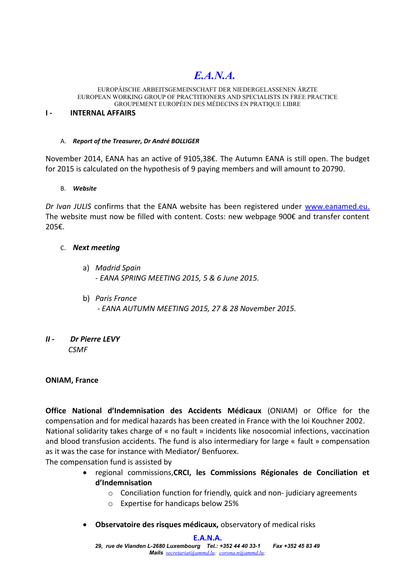#### EUROPÄISCHE ARBEITSGEMEINSCHAFT DER NIEDERGELASSENEN ÄRZTE EUROPEAN WORKING GROUP OF PRACTITIONERS AND SPECIALISTS IN FREE PRACTICE GROUPEMENT EUROPÉEN DES MÉDECINS EN PRATIQUE LIBRE

## **I - INTERNAL AFFAIRS**

## A. *Report of the Treasurer, Dr André BOLLIGER*

November 2014, EANA has an active of 9105,38€. The Autumn EANA is still open. The budget for 2015 is calculated on the hypothesis of 9 paying members and will amount to 20790.

# B. *Website*

*Dr Ivan JULIS* confirms that the EANA website has been registered under [www.eanamed.eu.](http://www.eanamed.eu/) The website must now be filled with content. Costs: new webpage 900€ and transfer content 205€.

# C. *Next meeting*

- a) *Madrid Spain - EANA SPRING MEETING 2015, 5 & 6 June 2015.*
- b) *Paris France*
	- *EANA AUTUMN MEETING 2015, 27 & 28 November 2015.*

# *II - Dr Pierre LEVY CSMF*

# **ONIAM, France**

**Office National d'Indemnisation des Accidents Médicaux** (ONIAM) or Office for the compensation and for medical hazards has been created in France with the loi Kouchner 2002. National solidarity takes charge of « no fault » incidents like nosocomial infections, vaccination and blood transfusion accidents. The fund is also intermediary for large « fault » compensation as it was the case for instance with Mediator/ Benfuorex.

The compensation fund is assisted by

- regional commissions,**CRCI, les Commissions Régionales de Conciliation et d'Indemnisation**
	- o Conciliation function for friendly, quick and non- judiciary agreements
	- o Expertise for handicaps below 25%
- **Observatoire des risques médicaux,** observatory of medical risks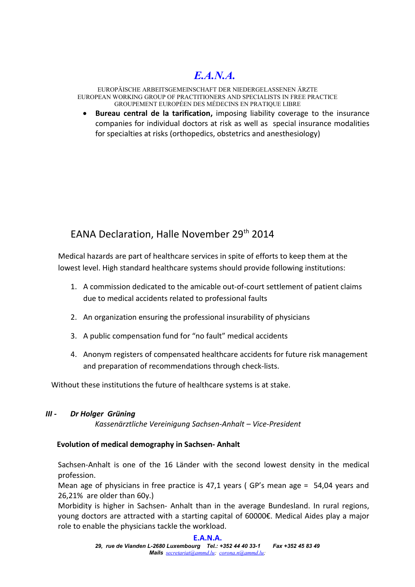EUROPÄISCHE ARBEITSGEMEINSCHAFT DER NIEDERGELASSENEN ÄRZTE EUROPEAN WORKING GROUP OF PRACTITIONERS AND SPECIALISTS IN FREE PRACTICE GROUPEMENT EUROPÉEN DES MÉDECINS EN PRATIQUE LIBRE

 **Bureau central de la tarification,** imposing liability coverage to the insurance companies for individual doctors at risk as well as special insurance modalities for specialties at risks (orthopedics, obstetrics and anesthesiology)

# EANA Declaration, Halle November 29<sup>th</sup> 2014

Medical hazards are part of healthcare services in spite of efforts to keep them at the lowest level. High standard healthcare systems should provide following institutions:

- 1. A commission dedicated to the amicable out-of-court settlement of patient claims due to medical accidents related to professional faults
- 2. An organization ensuring the professional insurability of physicians
- 3. A public compensation fund for "no fault" medical accidents
- 4. Anonym registers of compensated healthcare accidents for future risk management and preparation of recommendations through check-lists.

Without these institutions the future of healthcare systems is at stake.

# *III - Dr Holger Grüning*

*Kassenärztliche Vereinigung Sachsen-Anhalt – Vice-President*

# **Evolution of medical demography in Sachsen- Anhalt**

Sachsen-Anhalt is one of the 16 Länder with the second lowest density in the medical profession.

Mean age of physicians in free practice is 47,1 years ( GP's mean age = 54,04 years and 26,21% are older than 60y.)

Morbidity is higher in Sachsen- Anhalt than in the average Bundesland. In rural regions, young doctors are attracted with a starting capital of 60000€. Medical Aides play a major role to enable the physicians tackle the workload.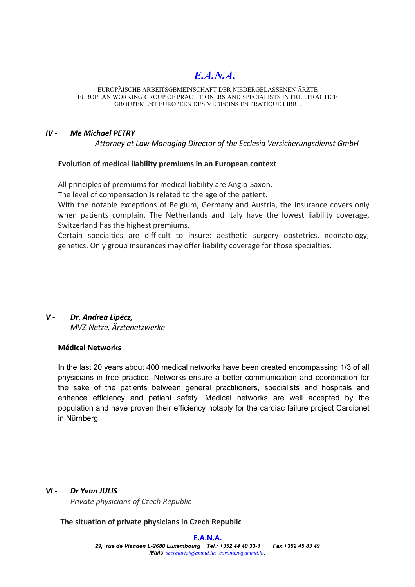#### EUROPÄISCHE ARBEITSGEMEINSCHAFT DER NIEDERGELASSENEN ÄRZTE EUROPEAN WORKING GROUP OF PRACTITIONERS AND SPECIALISTS IN FREE PRACTICE GROUPEMENT EUROPÉEN DES MÉDECINS EN PRATIQUE LIBRE

# *IV - Me Michael PETRY*

*Attorney at Law Managing Director of the Ecclesia Versicherungsdienst GmbH*

## **Evolution of medical liability premiums in an European context**

All principles of premiums for medical liability are Anglo-Saxon.

The level of compensation is related to the age of the patient.

With the notable exceptions of Belgium, Germany and Austria, the insurance covers only when patients complain. The Netherlands and Italy have the lowest liability coverage, Switzerland has the highest premiums.

Certain specialties are difficult to insure: aesthetic surgery obstetrics, neonatology, genetics. Only group insurances may offer liability coverage for those specialties.

# *V - Dr. Andrea Lipécz, MVZ-Netze, Ärztenetzwerke*

# **Médical Networks**

In the last 20 years about 400 medical networks have been created encompassing 1/3 of all physicians in free practice. Networks ensure a better communication and coordination for the sake of the patients between general practitioners, specialists and hospitals and enhance efficiency and patient safety. Medical networks are well accepted by the population and have proven their efficiency notably for the cardiac failure project Cardionet in Nürnberg.

## *VI - Dr Yvan JULIS*

*Private physicians of Czech Republic*

**The situation of private physicians in Czech Republic**

### **E.A.N.A.**